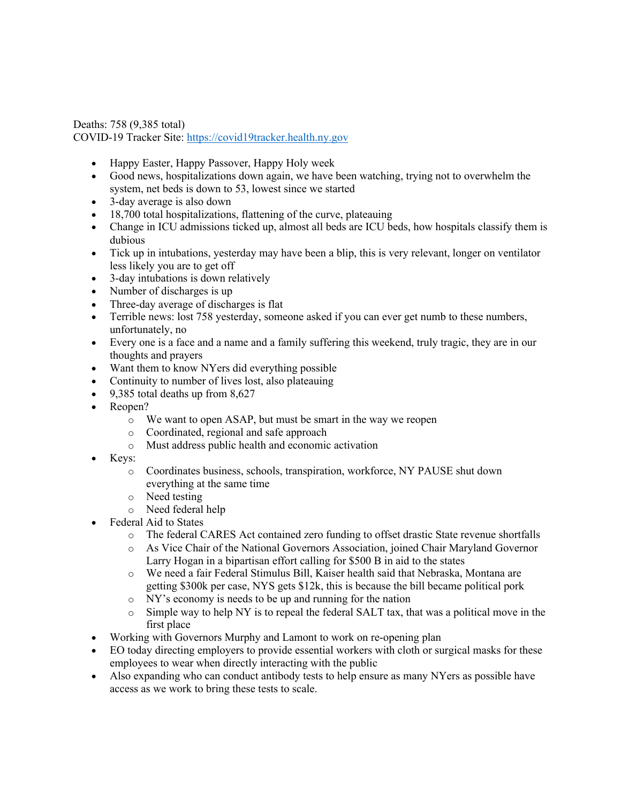Deaths: 758 (9,385 total) COVID-19 Tracker Site: https://covid19tracker.health.ny.gov

- Happy Easter, Happy Passover, Happy Holy week
- Good news, hospitalizations down again, we have been watching, trying not to overwhelm the system, net beds is down to 53, lowest since we started
- 3-day average is also down
- 18,700 total hospitalizations, flattening of the curve, plateauing
- Change in ICU admissions ticked up, almost all beds are ICU beds, how hospitals classify them is dubious
- Tick up in intubations, yesterday may have been a blip, this is very relevant, longer on ventilator less likely you are to get off
- 3-day intubations is down relatively
- Number of discharges is up
- Three-day average of discharges is flat
- Terrible news: lost 758 yesterday, someone asked if you can ever get numb to these numbers, unfortunately, no
- Every one is a face and a name and a family suffering this weekend, truly tragic, they are in our thoughts and prayers
- Want them to know NYers did everything possible
- Continuity to number of lives lost, also plateauing
- 9,385 total deaths up from  $8,627$
- Reopen?
	- o We want to open ASAP, but must be smart in the way we reopen
	- o Coordinated, regional and safe approach
	- o Must address public health and economic activation
- Keys:
	- o Coordinates business, schools, transpiration, workforce, NY PAUSE shut down everything at the same time
	- o Need testing
	- o Need federal help
	- Federal Aid to States
		- o The federal CARES Act contained zero funding to offset drastic State revenue shortfalls
		- o As Vice Chair of the National Governors Association, joined Chair Maryland Governor Larry Hogan in a bipartisan effort calling for \$500 B in aid to the states
		- o We need a fair Federal Stimulus Bill, Kaiser health said that Nebraska, Montana are getting \$300k per case, NYS gets \$12k, this is because the bill became political pork
		- o NY's economy is needs to be up and running for the nation
		- $\circ$  Simple way to help NY is to repeal the federal SALT tax, that was a political move in the first place
- Working with Governors Murphy and Lamont to work on re-opening plan
- EO today directing employers to provide essential workers with cloth or surgical masks for these employees to wear when directly interacting with the public
- Also expanding who can conduct antibody tests to help ensure as many NYers as possible have access as we work to bring these tests to scale.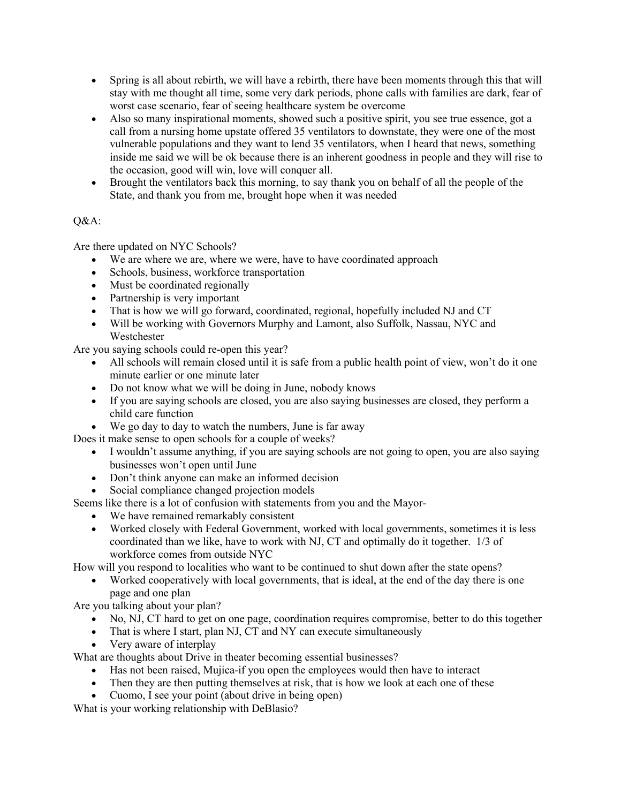- Spring is all about rebirth, we will have a rebirth, there have been moments through this that will stay with me thought all time, some very dark periods, phone calls with families are dark, fear of worst case scenario, fear of seeing healthcare system be overcome
- Also so many inspirational moments, showed such a positive spirit, you see true essence, got a call from a nursing home upstate offered 35 ventilators to downstate, they were one of the most vulnerable populations and they want to lend 35 ventilators, when I heard that news, something inside me said we will be ok because there is an inherent goodness in people and they will rise to the occasion, good will win, love will conquer all.
- Brought the ventilators back this morning, to say thank you on behalf of all the people of the State, and thank you from me, brought hope when it was needed

## Q&A:

Are there updated on NYC Schools?

- We are where we are, where we were, have to have coordinated approach
- Schools, business, workforce transportation
- Must be coordinated regionally
- Partnership is very important
- That is how we will go forward, coordinated, regional, hopefully included NJ and CT
- Will be working with Governors Murphy and Lamont, also Suffolk, Nassau, NYC and Westchester

Are you saying schools could re-open this year?

- All schools will remain closed until it is safe from a public health point of view, won't do it one minute earlier or one minute later
- Do not know what we will be doing in June, nobody knows
- If you are saying schools are closed, you are also saying businesses are closed, they perform a child care function
- We go day to day to watch the numbers, June is far away

Does it make sense to open schools for a couple of weeks?

- I wouldn't assume anything, if you are saying schools are not going to open, you are also saying businesses won't open until June
- Don't think anyone can make an informed decision
- Social compliance changed projection models

Seems like there is a lot of confusion with statements from you and the Mayor-

- We have remained remarkably consistent
- Worked closely with Federal Government, worked with local governments, sometimes it is less coordinated than we like, have to work with NJ, CT and optimally do it together. 1/3 of workforce comes from outside NYC

How will you respond to localities who want to be continued to shut down after the state opens?

• Worked cooperatively with local governments, that is ideal, at the end of the day there is one page and one plan

Are you talking about your plan?

- No, NJ, CT hard to get on one page, coordination requires compromise, better to do this together
- That is where I start, plan NJ,  $\overline{CT}$  and NY can execute simultaneously
- Very aware of interplay

What are thoughts about Drive in theater becoming essential businesses?

- Has not been raised, Mujica-if you open the employees would then have to interact
- Then they are then putting themselves at risk, that is how we look at each one of these
- Cuomo, I see your point (about drive in being open)

What is your working relationship with DeBlasio?